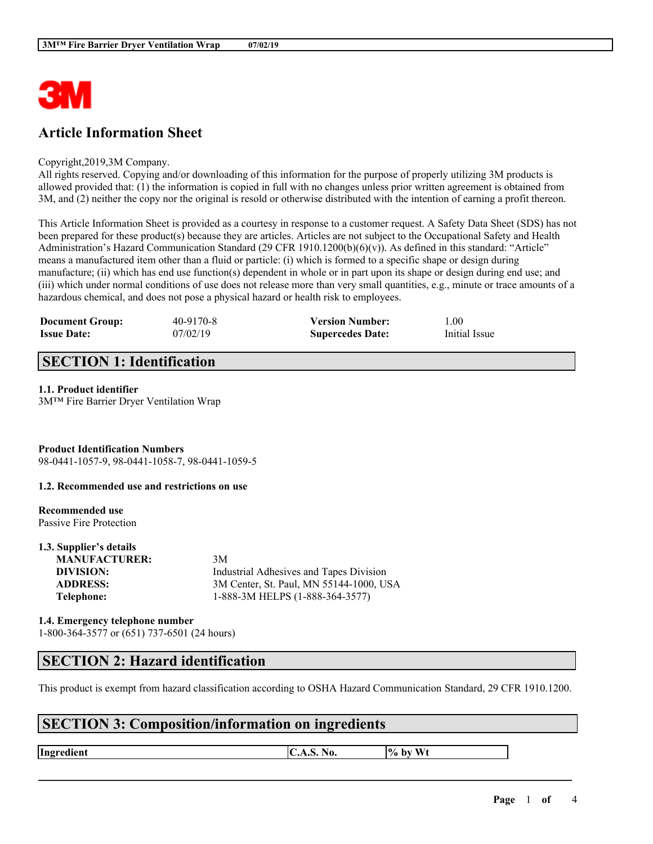

# **Article Information Sheet**

#### Copyright,2019,3M Company.

All rights reserved. Copying and/or downloading of this information for the purpose of properly utilizing 3M products is allowed provided that: (1) the information is copied in full with no changes unless prior written agreement is obtained from 3M, and (2) neither the copy nor the original is resold or otherwise distributed with the intention of earning a profit thereon.

This Article Information Sheet is provided as a courtesy in response to a customer request. A Safety Data Sheet (SDS) has not been prepared for these product(s) because they are articles. Articles are not subject to the Occupational Safety and Health Administration's Hazard Communication Standard (29 CFR 1910.1200(b)(6)(v)). As defined in this standard: "Article" means a manufactured item other than a fluid or particle: (i) which is formed to a specific shape or design during manufacture; (ii) which has end use function(s) dependent in whole or in part upon its shape or design during end use; and (iii) which under normal conditions of use does not release more than very small quantities, e.g., minute or trace amounts of a hazardous chemical, and does not pose a physical hazard or health risk to employees.

| <b>Document Group:</b> | $40 - 9170 - 8$ | <b>Version Number:</b>  | 0.00          |
|------------------------|-----------------|-------------------------|---------------|
| <b>Issue Date:</b>     | 07/02/19        | <b>Supercedes Date:</b> | Initial Issue |

## **SECTION 1: Identification**

#### **1.1. Product identifier**

3M™ Fire Barrier Dryer Ventilation Wrap

**Product Identification Numbers** 98-0441-1057-9, 98-0441-1058-7, 98-0441-1059-5

#### **1.2. Recommended use and restrictions on use**

#### **Recommended use**

Passive Fire Protection **1.3. Supplier's details**

| 1.3. Supplier's details |                                         |
|-------------------------|-----------------------------------------|
| <b>MANUFACTURER:</b>    | 3M                                      |
| DIVISION:               | Industrial Adhesives and Tapes Division |
| <b>ADDRESS:</b>         | 3M Center, St. Paul, MN 55144-1000, USA |
| Telephone:              | 1-888-3M HELPS (1-888-364-3577)         |
|                         |                                         |

**1.4. Emergency telephone number** 1-800-364-3577 or (651) 737-6501 (24 hours)

## **SECTION 2: Hazard identification**

This product is exempt from hazard classification according to OSHA Hazard Communication Standard, 29 CFR 1910.1200.

 $\mathcal{L}_\mathcal{L} = \mathcal{L}_\mathcal{L} = \mathcal{L}_\mathcal{L} = \mathcal{L}_\mathcal{L} = \mathcal{L}_\mathcal{L} = \mathcal{L}_\mathcal{L} = \mathcal{L}_\mathcal{L} = \mathcal{L}_\mathcal{L} = \mathcal{L}_\mathcal{L} = \mathcal{L}_\mathcal{L} = \mathcal{L}_\mathcal{L} = \mathcal{L}_\mathcal{L} = \mathcal{L}_\mathcal{L} = \mathcal{L}_\mathcal{L} = \mathcal{L}_\mathcal{L} = \mathcal{L}_\mathcal{L} = \mathcal{L}_\mathcal{L}$ 

## **SECTION 3: Composition/information on ingredients**

**Ingredient**  $\begin{bmatrix} \text{C.A.S. No.} \\ \text{A.05.} \\ \text{B.06.} \end{bmatrix}$  \to by Wt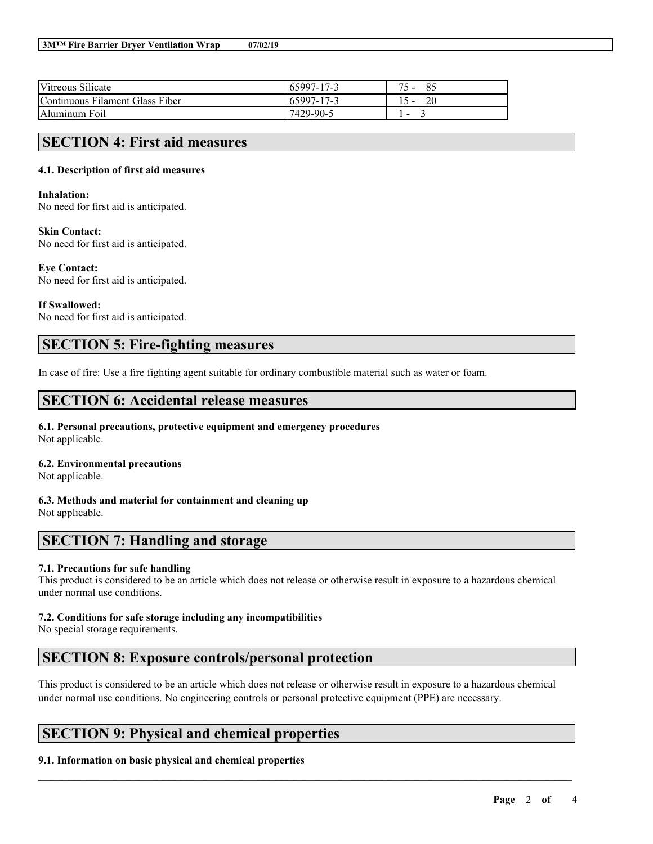| Vitreous Silicate               | $165997 - 17 - 3$ | 85 |
|---------------------------------|-------------------|----|
| Continuous Filament Glass Fiber | $165997 - 17 - 3$ |    |
| Aluminum Foil                   | 17429-90-5        | -  |

## **SECTION 4: First aid measures**

### **4.1. Description of first aid measures**

#### **Inhalation:**

No need for first aid is anticipated.

#### **Skin Contact:**

No need for first aid is anticipated.

#### **Eye Contact:**

No need for first aid is anticipated.

#### **If Swallowed:**

No need for first aid is anticipated.

# **SECTION 5: Fire-fighting measures**

In case of fire: Use a fire fighting agent suitable for ordinary combustible material such as water or foam.

## **SECTION 6: Accidental release measures**

#### **6.1. Personal precautions, protective equipment and emergency procedures** Not applicable.

### **6.2. Environmental precautions**

Not applicable.

**6.3. Methods and material for containment and cleaning up** Not applicable.

## **SECTION 7: Handling and storage**

### **7.1. Precautions for safe handling**

This product is considered to be an article which does not release or otherwise result in exposure to a hazardous chemical under normal use conditions.

### **7.2. Conditions for safe storage including any incompatibilities**

No special storage requirements.

# **SECTION 8: Exposure controls/personal protection**

This product is considered to be an article which does not release or otherwise result in exposure to a hazardous chemical under normal use conditions. No engineering controls or personal protective equipment (PPE) are necessary.

 $\mathcal{L}_\mathcal{L} = \mathcal{L}_\mathcal{L} = \mathcal{L}_\mathcal{L} = \mathcal{L}_\mathcal{L} = \mathcal{L}_\mathcal{L} = \mathcal{L}_\mathcal{L} = \mathcal{L}_\mathcal{L} = \mathcal{L}_\mathcal{L} = \mathcal{L}_\mathcal{L} = \mathcal{L}_\mathcal{L} = \mathcal{L}_\mathcal{L} = \mathcal{L}_\mathcal{L} = \mathcal{L}_\mathcal{L} = \mathcal{L}_\mathcal{L} = \mathcal{L}_\mathcal{L} = \mathcal{L}_\mathcal{L} = \mathcal{L}_\mathcal{L}$ 

# **SECTION 9: Physical and chemical properties**

### **9.1. Information on basic physical and chemical properties**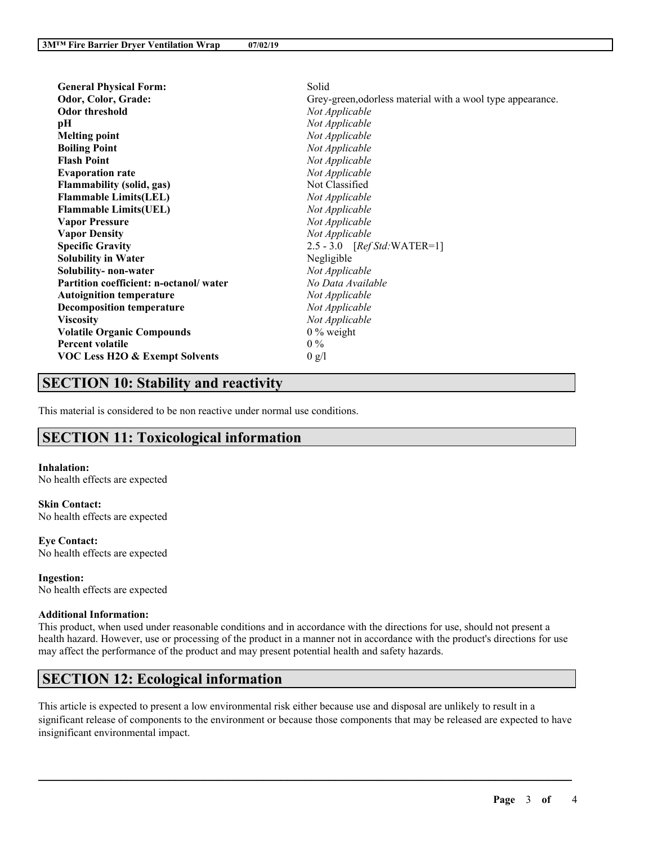| <b>General Physical Form:</b>             | Solid                                                      |
|-------------------------------------------|------------------------------------------------------------|
| Odor, Color, Grade:                       | Grey-green, odorless material with a wool type appearance. |
| <b>Odor threshold</b>                     | Not Applicable                                             |
| pН                                        | Not Applicable                                             |
| <b>Melting point</b>                      | Not Applicable                                             |
| <b>Boiling Point</b>                      | Not Applicable                                             |
| <b>Flash Point</b>                        | Not Applicable                                             |
| <b>Evaporation rate</b>                   | Not Applicable                                             |
| <b>Flammability (solid, gas)</b>          | Not Classified                                             |
| <b>Flammable Limits(LEL)</b>              | Not Applicable                                             |
| <b>Flammable Limits(UEL)</b>              | Not Applicable                                             |
| <b>Vapor Pressure</b>                     | Not Applicable                                             |
| <b>Vapor Density</b>                      | Not Applicable                                             |
| <b>Specific Gravity</b>                   | 2.5 - 3.0 [Ref Std: WATER=1]                               |
| <b>Solubility in Water</b>                | Negligible                                                 |
| Solubility- non-water                     | Not Applicable                                             |
| Partition coefficient: n-octanol/water    | No Data Available                                          |
| <b>Autoignition temperature</b>           | Not Applicable                                             |
| <b>Decomposition temperature</b>          | Not Applicable                                             |
| <b>Viscosity</b>                          | Not Applicable                                             |
| <b>Volatile Organic Compounds</b>         | $0\%$ weight                                               |
| <b>Percent volatile</b>                   | $0\%$                                                      |
| <b>VOC Less H2O &amp; Exempt Solvents</b> | 0 g/l                                                      |

# **SECTION 10: Stability and reactivity**

This material is considered to be non reactive under normal use conditions.

# **SECTION 11: Toxicological information**

#### **Inhalation:**

No health effects are expected

**Skin Contact:** No health effects are expected

**Eye Contact:** No health effects are expected

**Ingestion:** No health effects are expected

#### **Additional Information:**

This product, when used under reasonable conditions and in accordance with the directions for use, should not present a health hazard. However, use or processing of the product in a manner not in accordance with the product's directions for use may affect the performance of the product and may present potential health and safety hazards.

# **SECTION 12: Ecological information**

This article is expected to present a low environmental risk either because use and disposal are unlikely to result in a significant release of components to the environment or because those components that may be released are expected to have insignificant environmental impact.

 $\mathcal{L}_\mathcal{L} = \mathcal{L}_\mathcal{L} = \mathcal{L}_\mathcal{L} = \mathcal{L}_\mathcal{L} = \mathcal{L}_\mathcal{L} = \mathcal{L}_\mathcal{L} = \mathcal{L}_\mathcal{L} = \mathcal{L}_\mathcal{L} = \mathcal{L}_\mathcal{L} = \mathcal{L}_\mathcal{L} = \mathcal{L}_\mathcal{L} = \mathcal{L}_\mathcal{L} = \mathcal{L}_\mathcal{L} = \mathcal{L}_\mathcal{L} = \mathcal{L}_\mathcal{L} = \mathcal{L}_\mathcal{L} = \mathcal{L}_\mathcal{L}$